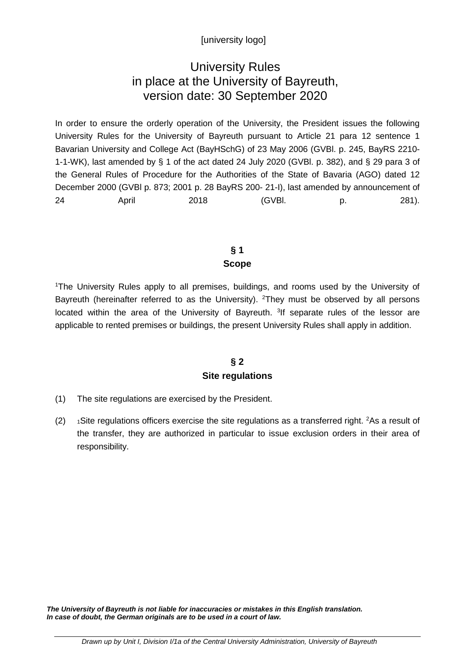# [university logo]

# University Rules in place at the University of Bayreuth, version date: 30 September 2020

In order to ensure the orderly operation of the University, the President issues the following University Rules for the University of Bayreuth pursuant to Article 21 para 12 sentence 1 Bavarian University and College Act (BayHSchG) of 23 May 2006 (GVBl. p. 245, BayRS 2210- 1-1-WK), last amended by § 1 of the act dated 24 July 2020 (GVBl. p. 382), and § 29 para 3 of the General Rules of Procedure for the Authorities of the State of Bavaria (AGO) dated 12 December 2000 (GVBl p. 873; 2001 p. 28 BayRS 200- 21-I), last amended by announcement of 24 April 2018 (GVBl. p. 281).

# **§ 1 Scope**

1 The University Rules apply to all premises, buildings, and rooms used by the University of Bayreuth (hereinafter referred to as the University). <sup>2</sup>They must be observed by all persons located within the area of the University of Bayreuth. <sup>3</sup>If separate rules of the lessor are applicable to rented premises or buildings, the present University Rules shall apply in addition.

#### **§ 2 Site regulations**

- (1) The site regulations are exercised by the President.
- $(2)$  1 Site regulations officers exercise the site regulations as a transferred right. <sup>2</sup>As a result of the transfer, they are authorized in particular to issue exclusion orders in their area of responsibility.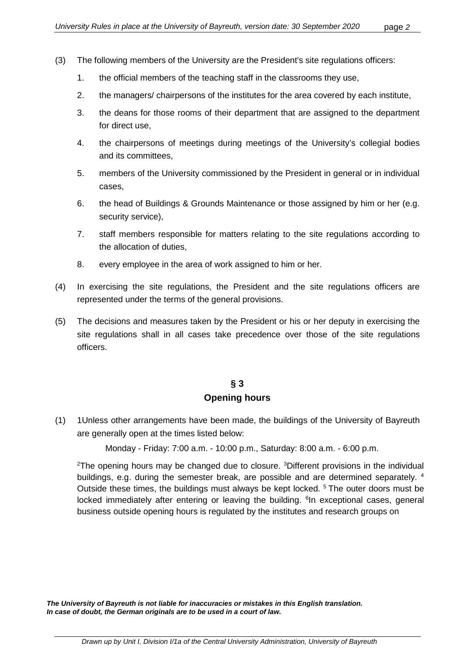- (3) The following members of the University are the President's site regulations officers:
	- 1. the official members of the teaching staff in the classrooms they use,
	- 2. the managers/ chairpersons of the institutes for the area covered by each institute,
	- 3. the deans for those rooms of their department that are assigned to the department for direct use,
	- 4. the chairpersons of meetings during meetings of the University's collegial bodies and its committees,
	- 5. members of the University commissioned by the President in general or in individual cases,
	- 6. the head of Buildings & Grounds Maintenance or those assigned by him or her (e.g. security service),
	- 7. staff members responsible for matters relating to the site regulations according to the allocation of duties,
	- 8. every employee in the area of work assigned to him or her.
- (4) In exercising the site regulations, the President and the site regulations officers are represented under the terms of the general provisions.
- (5) The decisions and measures taken by the President or his or her deputy in exercising the site regulations shall in all cases take precedence over those of the site regulations officers.

# **§ 3 Opening hours**

(1) 1Unless other arrangements have been made, the buildings of the University of Bayreuth are generally open at the times listed below:

Monday - Friday: 7:00 a.m. - 10:00 p.m., Saturday: 8:00 a.m. - 6:00 p.m.

<sup>2</sup>The opening hours may be changed due to closure. <sup>3</sup>Different provisions in the individual buildings, e.g. during the semester break, are possible and are determined separately. <sup>4</sup> Outside these times, the buildings must always be kept locked. <sup>5</sup> The outer doors must be locked immediately after entering or leaving the building. <sup>6</sup>In exceptional cases, general business outside opening hours is regulated by the institutes and research groups on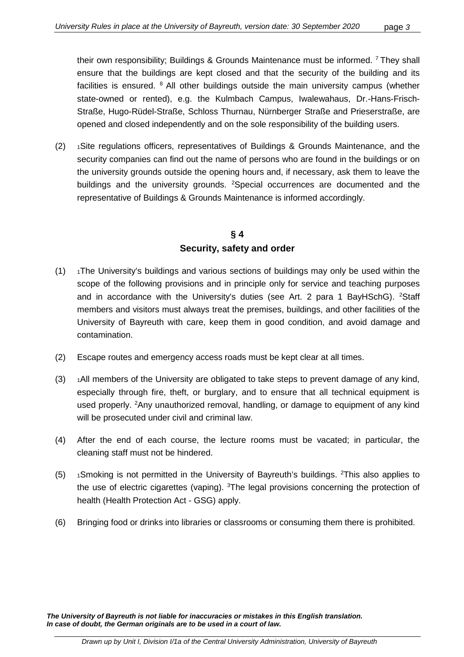their own responsibility; Buildings & Grounds Maintenance must be informed. 7 They shall ensure that the buildings are kept closed and that the security of the building and its facilities is ensured. <sup>8</sup> All other buildings outside the main university campus (whether state-owned or rented), e.g. the Kulmbach Campus, Iwalewahaus, Dr.-Hans-Frisch-Straße, Hugo-Rüdel-Straße, Schloss Thurnau, Nürnberger Straße and Prieserstraße, are opened and closed independently and on the sole responsibility of the building users.

(2) 1Site regulations officers, representatives of Buildings & Grounds Maintenance, and the security companies can find out the name of persons who are found in the buildings or on the university grounds outside the opening hours and, if necessary, ask them to leave the buildings and the university grounds. <sup>2</sup>Special occurrences are documented and the representative of Buildings & Grounds Maintenance is informed accordingly.

# **§ 4 Security, safety and order**

- $(1)$  1The University's buildings and various sections of buildings may only be used within the scope of the following provisions and in principle only for service and teaching purposes and in accordance with the University's duties (see Art. 2 para 1 BayHSchG). <sup>2</sup>Staff members and visitors must always treat the premises, buildings, and other facilities of the University of Bayreuth with care, keep them in good condition, and avoid damage and contamination.
- (2) Escape routes and emergency access roads must be kept clear at all times.
- $(3)$  1All members of the University are obligated to take steps to prevent damage of any kind, especially through fire, theft, or burglary, and to ensure that all technical equipment is used properly. <sup>2</sup>Any unauthorized removal, handling, or damage to equipment of any kind will be prosecuted under civil and criminal law.
- (4) After the end of each course, the lecture rooms must be vacated; in particular, the cleaning staff must not be hindered.
- $(5)$  1Smoking is not permitted in the University of Bayreuth's buildings. <sup>2</sup>This also applies to the use of electric cigarettes (vaping). <sup>3</sup>The legal provisions concerning the protection of health (Health Protection Act - GSG) apply.
- (6) Bringing food or drinks into libraries or classrooms or consuming them there is prohibited.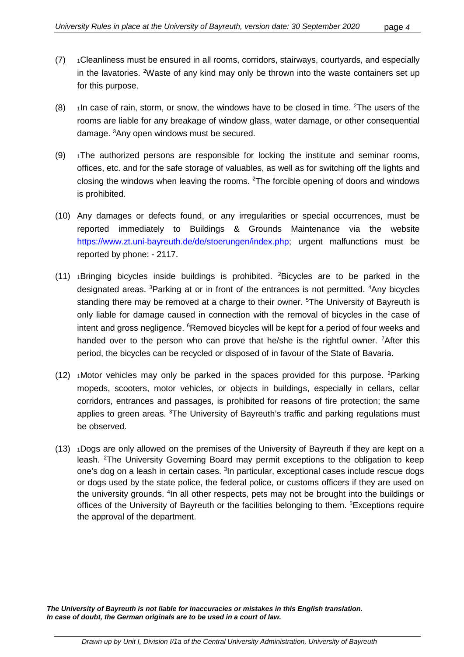- (7) 1Cleanliness must be ensured in all rooms, corridors, stairways, courtyards, and especially in the lavatories. <sup>2</sup>Waste of any kind may only be thrown into the waste containers set up for this purpose.
- $(8)$  1In case of rain, storm, or snow, the windows have to be closed in time. <sup>2</sup>The users of the rooms are liable for any breakage of window glass, water damage, or other consequential damage. 3 Any open windows must be secured.
- $(9)$  1The authorized persons are responsible for locking the institute and seminar rooms, offices, etc. and for the safe storage of valuables, as well as for switching off the lights and closing the windows when leaving the rooms. <sup>2</sup>The forcible opening of doors and windows is prohibited.
- (10) Any damages or defects found, or any irregularities or special occurrences, must be reported immediately to Buildings & Grounds Maintenance via the website [https://www.zt.uni-bayreuth.de/de/stoerungen/index.php;](https://www.zt.uni-bayreuth.de/de/stoerungen/index.php) urgent malfunctions must be reported by phone: - 2117.
- $(11)$  1Bringing bicycles inside buildings is prohibited. <sup>2</sup>Bicycles are to be parked in the designated areas. <sup>3</sup>Parking at or in front of the entrances is not permitted. <sup>4</sup>Any bicycles standing there may be removed at a charge to their owner. <sup>5</sup>The University of Bayreuth is only liable for damage caused in connection with the removal of bicycles in the case of intent and gross negligence. <sup>6</sup>Removed bicycles will be kept for a period of four weeks and handed over to the person who can prove that he/she is the rightful owner. <sup>7</sup>After this period, the bicycles can be recycled or disposed of in favour of the State of Bavaria.
- $(12)$  1Motor vehicles may only be parked in the spaces provided for this purpose. <sup>2</sup>Parking mopeds, scooters, motor vehicles, or objects in buildings, especially in cellars, cellar corridors, entrances and passages, is prohibited for reasons of fire protection; the same applies to green areas. <sup>3</sup>The University of Bayreuth's traffic and parking regulations must be observed.
- (13) 1Dogs are only allowed on the premises of the University of Bayreuth if they are kept on a leash. <sup>2</sup>The University Governing Board may permit exceptions to the obligation to keep one's dog on a leash in certain cases. <sup>3</sup>In particular, exceptional cases include rescue dogs or dogs used by the state police, the federal police, or customs officers if they are used on the university grounds. <sup>4</sup>In all other respects, pets may not be brought into the buildings or offices of the University of Bayreuth or the facilities belonging to them. <sup>5</sup>Exceptions require the approval of the department.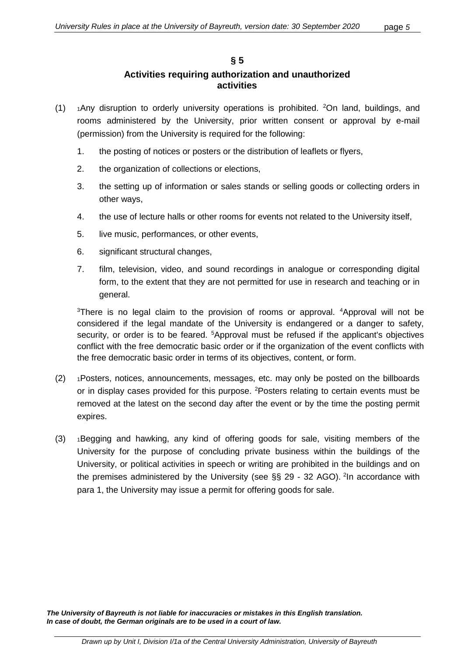#### **§ 5 Activities requiring authorization and unauthorized activities**

- $(1)$  1Any disruption to orderly university operations is prohibited. <sup>2</sup>On land, buildings, and rooms administered by the University, prior written consent or approval by e-mail (permission) from the University is required for the following:
	- 1. the posting of notices or posters or the distribution of leaflets or flyers,
	- 2. the organization of collections or elections,
	- 3. the setting up of information or sales stands or selling goods or collecting orders in other ways,
	- 4. the use of lecture halls or other rooms for events not related to the University itself,
	- 5. live music, performances, or other events,
	- 6. significant structural changes,
	- 7. film, television, video, and sound recordings in analogue or corresponding digital form, to the extent that they are not permitted for use in research and teaching or in general.

<sup>3</sup>There is no legal claim to the provision of rooms or approval. <sup>4</sup>Approval will not be considered if the legal mandate of the University is endangered or a danger to safety, security, or order is to be feared. <sup>5</sup>Approval must be refused if the applicant's objectives conflict with the free democratic basic order or if the organization of the event conflicts with the free democratic basic order in terms of its objectives, content, or form.

- (2) 1Posters, notices, announcements, messages, etc. may only be posted on the billboards or in display cases provided for this purpose. <sup>2</sup>Posters relating to certain events must be removed at the latest on the second day after the event or by the time the posting permit expires.
- (3) 1Begging and hawking, any kind of offering goods for sale, visiting members of the University for the purpose of concluding private business within the buildings of the University, or political activities in speech or writing are prohibited in the buildings and on the premises administered by the University (see §§ 29 - 32 AGO). <sup>2</sup>In accordance with para 1, the University may issue a permit for offering goods for sale.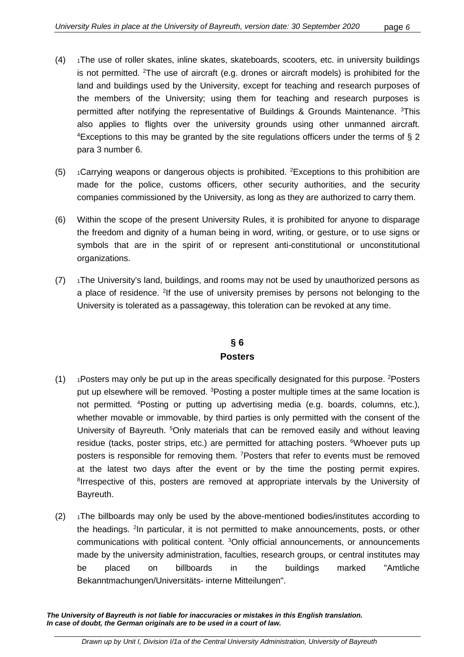- $(4)$  1The use of roller skates, inline skates, skateboards, scooters, etc. in university buildings is not permitted. <sup>2</sup>The use of aircraft (e.g. drones or aircraft models) is prohibited for the land and buildings used by the University, except for teaching and research purposes of the members of the University; using them for teaching and research purposes is permitted after notifying the representative of Buildings & Grounds Maintenance. <sup>3</sup>This also applies to flights over the university grounds using other unmanned aircraft. <sup>4</sup>Exceptions to this may be granted by the site regulations officers under the terms of  $\S 2$ para 3 number 6.
- $(5)$  1 Carrying weapons or dangerous objects is prohibited. <sup>2</sup> Exceptions to this prohibition are made for the police, customs officers, other security authorities, and the security companies commissioned by the University, as long as they are authorized to carry them.
- (6) Within the scope of the present University Rules, it is prohibited for anyone to disparage the freedom and dignity of a human being in word, writing, or gesture, or to use signs or symbols that are in the spirit of or represent anti-constitutional or unconstitutional organizations.
- $(7)$  1The University's land, buildings, and rooms may not be used by unauthorized persons as a place of residence. <sup>2</sup>If the use of university premises by persons not belonging to the University is tolerated as a passageway, this toleration can be revoked at any time.

# **§ 6 Posters**

- $(1)$  1Posters may only be put up in the areas specifically designated for this purpose. <sup>2</sup>Posters put up elsewhere will be removed. <sup>3</sup>Posting a poster multiple times at the same location is not permitted. 4 Posting or putting up advertising media (e.g. boards, columns, etc.), whether movable or immovable, by third parties is only permitted with the consent of the University of Bayreuth. <sup>5</sup>Only materials that can be removed easily and without leaving residue (tacks, poster strips, etc.) are permitted for attaching posters. <sup>6</sup>Whoever puts up posters is responsible for removing them. <sup>7</sup> Posters that refer to events must be removed at the latest two days after the event or by the time the posting permit expires. <sup>8</sup>Irrespective of this, posters are removed at appropriate intervals by the University of Bayreuth.
- $(2)$  1The billboards may only be used by the above-mentioned bodies/institutes according to the headings. <sup>2</sup>In particular, it is not permitted to make announcements, posts, or other communications with political content. <sup>3</sup>Only official announcements, or announcements made by the university administration, faculties, research groups, or central institutes may be placed on billboards in the buildings marked "Amtliche Bekanntmachungen/Universitäts- interne Mitteilungen".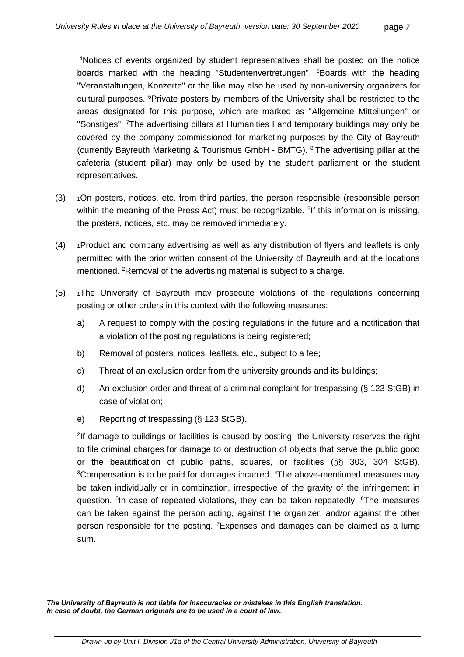4 Notices of events organized by student representatives shall be posted on the notice boards marked with the heading "Studentenvertretungen". <sup>5</sup>Boards with the heading "Veranstaltungen, Konzerte" or the like may also be used by non-university organizers for cultural purposes. <sup>6</sup>Private posters by members of the University shall be restricted to the areas designated for this purpose, which are marked as "Allgemeine Mitteilungen" or "Sonstiges". <sup>7</sup>The advertising pillars at Humanities I and temporary buildings may only be covered by the company commissioned for marketing purposes by the City of Bayreuth (currently Bayreuth Marketing & Tourismus GmbH - BMTG). 8 The advertising pillar at the cafeteria (student pillar) may only be used by the student parliament or the student representatives.

- (3) 1On posters, notices, etc. from third parties, the person responsible (responsible person within the meaning of the Press Act) must be recognizable. <sup>2</sup>If this information is missing, the posters, notices, etc. may be removed immediately.
- $(4)$  1Product and company advertising as well as any distribution of flyers and leaflets is only permitted with the prior written consent of the University of Bayreuth and at the locations mentioned. <sup>2</sup>Removal of the advertising material is subject to a charge.
- $(5)$  1The University of Bayreuth may prosecute violations of the regulations concerning posting or other orders in this context with the following measures:
	- a) A request to comply with the posting regulations in the future and a notification that a violation of the posting regulations is being registered;
	- b) Removal of posters, notices, leaflets, etc., subject to a fee;
	- c) Threat of an exclusion order from the university grounds and its buildings;
	- d) An exclusion order and threat of a criminal complaint for trespassing (§ 123 StGB) in case of violation;
	- e) Reporting of trespassing (§ 123 StGB).

<sup>2</sup>If damage to buildings or facilities is caused by posting, the University reserves the right to file criminal charges for damage to or destruction of objects that serve the public good or the beautification of public paths, squares, or facilities (§§ 303, 304 StGB). <sup>3</sup>Compensation is to be paid for damages incurred. <sup>4</sup>The above-mentioned measures may be taken individually or in combination, irrespective of the gravity of the infringement in question. <sup>5</sup>In case of repeated violations, they can be taken repeatedly. <sup>6</sup>The measures can be taken against the person acting, against the organizer, and/or against the other person responsible for the posting. <sup>7</sup> Expenses and damages can be claimed as a lump sum.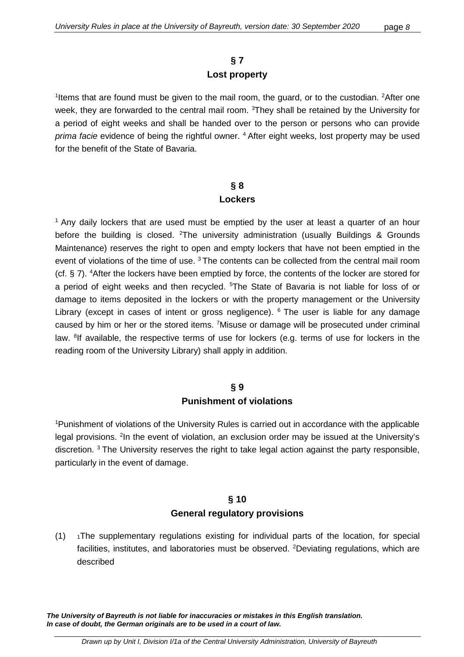#### **§ 7 Lost property**

<sup>1</sup>Items that are found must be given to the mail room, the guard, or to the custodian. <sup>2</sup>After one week, they are forwarded to the central mail room. <sup>3</sup>They shall be retained by the University for a period of eight weeks and shall be handed over to the person or persons who can provide *prima facie* evidence of being the rightful owner. 4 After eight weeks, lost property may be used for the benefit of the State of Bavaria.

#### **§ 8 Lockers**

 $1$  Any daily lockers that are used must be emptied by the user at least a quarter of an hour before the building is closed. <sup>2</sup>The university administration (usually Buildings & Grounds Maintenance) reserves the right to open and empty lockers that have not been emptied in the event of violations of the time of use.<sup>3</sup> The contents can be collected from the central mail room (cf. § 7). 4 After the lockers have been emptied by force, the contents of the locker are stored for a period of eight weeks and then recycled. <sup>5</sup>The State of Bavaria is not liable for loss of or damage to items deposited in the lockers or with the property management or the University Library (except in cases of intent or gross negligence). <sup>6</sup> The user is liable for any damage caused by him or her or the stored items. <sup>7</sup> Misuse or damage will be prosecuted under criminal law. <sup>8</sup>If available, the respective terms of use for lockers (e.g. terms of use for lockers in the reading room of the University Library) shall apply in addition.

#### **§ 9 Punishment of violations**

<sup>1</sup>Punishment of violations of the University Rules is carried out in accordance with the applicable legal provisions. <sup>2</sup>In the event of violation, an exclusion order may be issued at the University's discretion. <sup>3</sup> The University reserves the right to take legal action against the party responsible, particularly in the event of damage.

# **§ 10 General regulatory provisions**

 $(1)$  1The supplementary regulations existing for individual parts of the location, for special facilities, institutes, and laboratories must be observed. <sup>2</sup>Deviating regulations, which are described